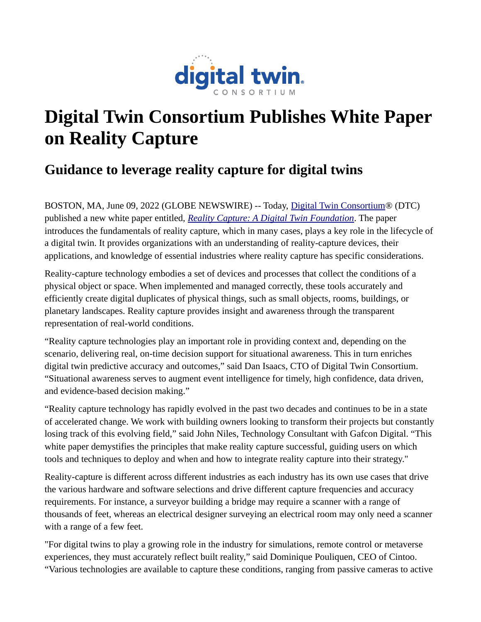

## **Digital Twin Consortium Publishes White Paper on Reality Capture**

## **Guidance to leverage reality capture for digital twins**

BOSTON, MA, June 09, 2022 (GLOBE NEWSWIRE) -- Today, [Digital Twin Consortium®](https://www.globenewswire.com/Tracker?data=WsPYoHhn4Gwwf33rVNv5MTEHcBXBPr3rrW-Hh3wBxHqoKWkJJ7LauBLmuVAdRhZSqoBk_XnxjhtjOUViEiqiFEBNcDjYUpDcFfyvckEa3Z6oiLQI15L3Ps8Lsw_eUEQ0) (DTC) published a new white paper entitled, *[Reality Capture: A Digital Twin Foundation](https://www.globenewswire.com/Tracker?data=aw2wivuwuG50W38cD1cZ6BqYcmIUqkRowmZMe1IvDngNw0MREBLK_KPGU-g1jeIZKzYcv-q95pX3k-fuSDgmgL2MvVvcI3TCU3OJ-lrlk49XOTzNNDlkk4L2TzPL-eGUcyXNRdznqc7PoVZNBvXfDxfBuLFOHkiufXGGY691H9U=)*. The paper introduces the fundamentals of reality capture, which in many cases, plays a key role in the lifecycle of a digital twin. It provides organizations with an understanding of reality-capture devices, their applications, and knowledge of essential industries where reality capture has specific considerations.

Reality-capture technology embodies a set of devices and processes that collect the conditions of a physical object or space. When implemented and managed correctly, these tools accurately and efficiently create digital duplicates of physical things, such as small objects, rooms, buildings, or planetary landscapes. Reality capture provides insight and awareness through the transparent representation of real-world conditions.

"Reality capture technologies play an important role in providing context and, depending on the scenario, delivering real, on-time decision support for situational awareness. This in turn enriches digital twin predictive accuracy and outcomes," said Dan Isaacs, CTO of Digital Twin Consortium. "Situational awareness serves to augment event intelligence for timely, high confidence, data driven, and evidence-based decision making."

"Reality capture technology has rapidly evolved in the past two decades and continues to be in a state of accelerated change. We work with building owners looking to transform their projects but constantly losing track of this evolving field," said John Niles, Technology Consultant with Gafcon Digital. "This white paper demystifies the principles that make reality capture successful, guiding users on which tools and techniques to deploy and when and how to integrate reality capture into their strategy."

Reality-capture is different across different industries as each industry has its own use cases that drive the various hardware and software selections and drive different capture frequencies and accuracy requirements. For instance, a surveyor building a bridge may require a scanner with a range of thousands of feet, whereas an electrical designer surveying an electrical room may only need a scanner with a range of a few feet.

"For digital twins to play a growing role in the industry for simulations, remote control or metaverse experiences, they must accurately reflect built reality," said Dominique Pouliquen, CEO of Cintoo. "Various technologies are available to capture these conditions, ranging from passive cameras to active